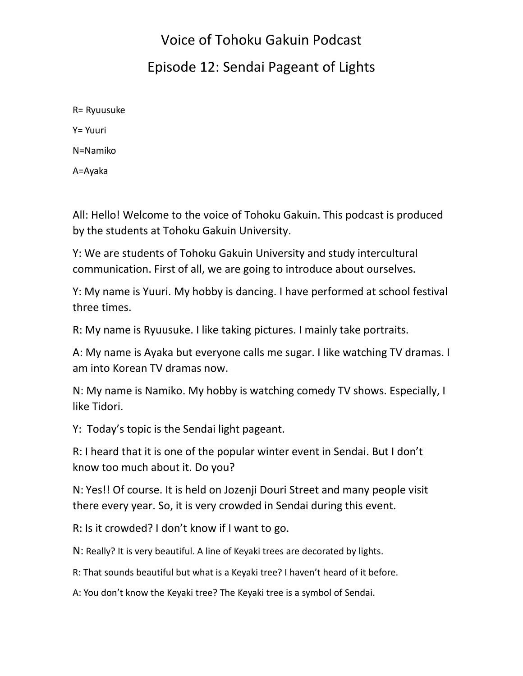## Voice of Tohoku Gakuin Podcast Episode 12: Sendai Pageant of Lights

R= Ryuusuke Y= Yuuri N=Namiko A=Ayaka

All: Hello! Welcome to the voice of Tohoku Gakuin. This podcast is produced by the students at Tohoku Gakuin University.

Y: We are students of Tohoku Gakuin University and study intercultural communication. First of all, we are going to introduce about ourselves.

Y: My name is Yuuri. My hobby is dancing. I have performed at school festival three times.

R: My name is Ryuusuke. I like taking pictures. I mainly take portraits.

A: My name is Ayaka but everyone calls me sugar. I like watching TV dramas. I am into Korean TV dramas now.

N: My name is Namiko. My hobby is watching comedy TV shows. Especially, I like Tidori.

Y: Today's topic is the Sendai light pageant.

R: I heard that it is one of the popular winter event in Sendai. But I don't know too much about it. Do you?

N: Yes!! Of course. It is held on Jozenji Douri Street and many people visit there every year. So, it is very crowded in Sendai during this event.

R: Is it crowded? I don't know if I want to go.

N: Really? It is very beautiful. A line of Keyaki trees are decorated by lights.

R: That sounds beautiful but what is a Keyaki tree? I haven't heard of it before.

A: You don't know the Keyaki tree? The Keyaki tree is a symbol of Sendai.